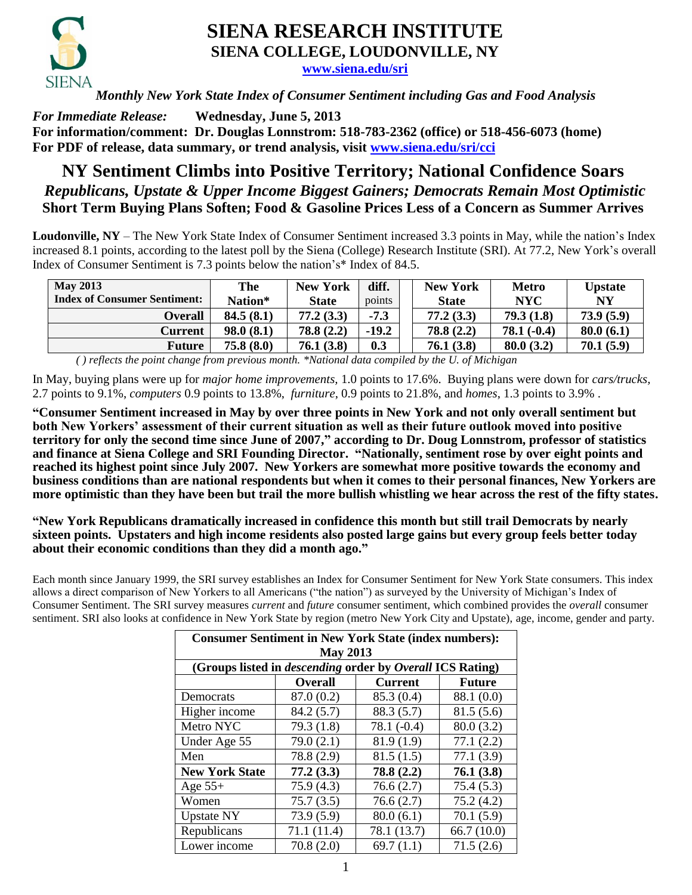

## **SIENA RESEARCH INSTITUTE SIENA COLLEGE, LOUDONVILLE, NY**

**[www.siena.edu/sri](http://www.siena.edu/sri)**

*Monthly New York State Index of Consumer Sentiment including Gas and Food Analysis*

*For Immediate Release:* **Wednesday, June 5, 2013 For information/comment: Dr. Douglas Lonnstrom: 518-783-2362 (office) or 518-456-6073 (home) For PDF of release, data summary, or trend analysis, visit [www.siena.edu/sri/cci](http://www.siena.edu/sri/cci)**

## **NY Sentiment Climbs into Positive Territory; National Confidence Soars** *Republicans, Upstate & Upper Income Biggest Gainers; Democrats Remain Most Optimistic* **Short Term Buying Plans Soften; Food & Gasoline Prices Less of a Concern as Summer Arrives**

**Loudonville, NY** – The New York State Index of Consumer Sentiment increased 3.3 points in May, while the nation's Index increased 8.1 points, according to the latest poll by the Siena (College) Research Institute (SRI). At 77.2, New York's overall Index of Consumer Sentiment is 7.3 points below the nation's\* Index of 84.5.

| <b>May 2013</b>                     | The       | <b>New York</b> | diff.   | <b>New York</b> | <b>Metro</b> | <b>Upstate</b> |
|-------------------------------------|-----------|-----------------|---------|-----------------|--------------|----------------|
| <b>Index of Consumer Sentiment:</b> | Nation*   | <b>State</b>    | points  | <b>State</b>    | <b>NYC</b>   | <b>NY</b>      |
| Overall                             | 84.5(8.1) | 77.2(3.3)       | $-7.3$  | 77.2(3.3)       | 79.3(1.8)    | 73.9(5.9)      |
| Current                             | 98.0(8.1) | 78.8(2.2)       | $-19.2$ | 78.8(2.2)       | $78.1(-0.4)$ | 80.0(6.1)      |
| Future                              | 75.8(8.0) | 76.1(3.8)       | 0.3     | 76.1(3.8)       | 80.0(3.2)    | 70.1(5.9)      |

*( ) reflects the point change from previous month. \*National data compiled by the U. of Michigan* 

In May, buying plans were up for *major home improvements,* 1.0 points to 17.6%. Buying plans were down for *cars/trucks,*  2.7 points to 9.1%, *computers* 0.9 points to 13.8%, *furniture*, 0.9 points to 21.8%, and *homes*, 1.3 points to 3.9% .

**"Consumer Sentiment increased in May by over three points in New York and not only overall sentiment but both New Yorkers' assessment of their current situation as well as their future outlook moved into positive territory for only the second time since June of 2007," according to Dr. Doug Lonnstrom, professor of statistics and finance at Siena College and SRI Founding Director. "Nationally, sentiment rose by over eight points and reached its highest point since July 2007. New Yorkers are somewhat more positive towards the economy and business conditions than are national respondents but when it comes to their personal finances, New Yorkers are more optimistic than they have been but trail the more bullish whistling we hear across the rest of the fifty states.**

**"New York Republicans dramatically increased in confidence this month but still trail Democrats by nearly sixteen points. Upstaters and high income residents also posted large gains but every group feels better today about their economic conditions than they did a month ago."** 

Each month since January 1999, the SRI survey establishes an Index for Consumer Sentiment for New York State consumers. This index allows a direct comparison of New Yorkers to all Americans ("the nation") as surveyed by the University of Michigan's Index of Consumer Sentiment. The SRI survey measures *current* and *future* consumer sentiment, which combined provides the *overall* consumer sentiment. SRI also looks at confidence in New York State by region (metro New York City and Upstate), age, income, gender and party.

| <b>Consumer Sentiment in New York State (index numbers):</b><br><b>May 2013</b> |                |                |               |  |  |  |  |  |  |
|---------------------------------------------------------------------------------|----------------|----------------|---------------|--|--|--|--|--|--|
| (Groups listed in <i>descending</i> order by <i>Overall ICS</i> Rating)         |                |                |               |  |  |  |  |  |  |
|                                                                                 | <b>Overall</b> | <b>Current</b> | <b>Future</b> |  |  |  |  |  |  |
| Democrats                                                                       | 87.0(0.2)      | 85.3 (0.4)     | 88.1 (0.0)    |  |  |  |  |  |  |
| Higher income                                                                   | 84.2 (5.7)     | 88.3 (5.7)     | 81.5(5.6)     |  |  |  |  |  |  |
| Metro NYC                                                                       | 79.3(1.8)      | $78.1(-0.4)$   | 80.0(3.2)     |  |  |  |  |  |  |
| Under Age 55                                                                    | 79.0(2.1)      | 81.9(1.9)      | 77.1(2.2)     |  |  |  |  |  |  |
| Men                                                                             | 78.8 (2.9)     | 81.5(1.5)      | 77.1(3.9)     |  |  |  |  |  |  |
| <b>New York State</b>                                                           | 77.2(3.3)      | 78.8(2.2)      | 76.1(3.8)     |  |  |  |  |  |  |
| Age $55+$                                                                       | 75.9 (4.3)     | 76.6(2.7)      | 75.4(5.3)     |  |  |  |  |  |  |
| Women                                                                           | 75.7(3.5)      | 76.6(2.7)      | 75.2(4.2)     |  |  |  |  |  |  |
| <b>Upstate NY</b>                                                               | 73.9(5.9)      | 80.0(6.1)      | 70.1(5.9)     |  |  |  |  |  |  |
| Republicans                                                                     | 71.1 (11.4)    | 78.1 (13.7)    | 66.7(10.0)    |  |  |  |  |  |  |
| Lower income                                                                    | 70.8(2.0)      | 69.7(1.1)      | 71.5(2.6)     |  |  |  |  |  |  |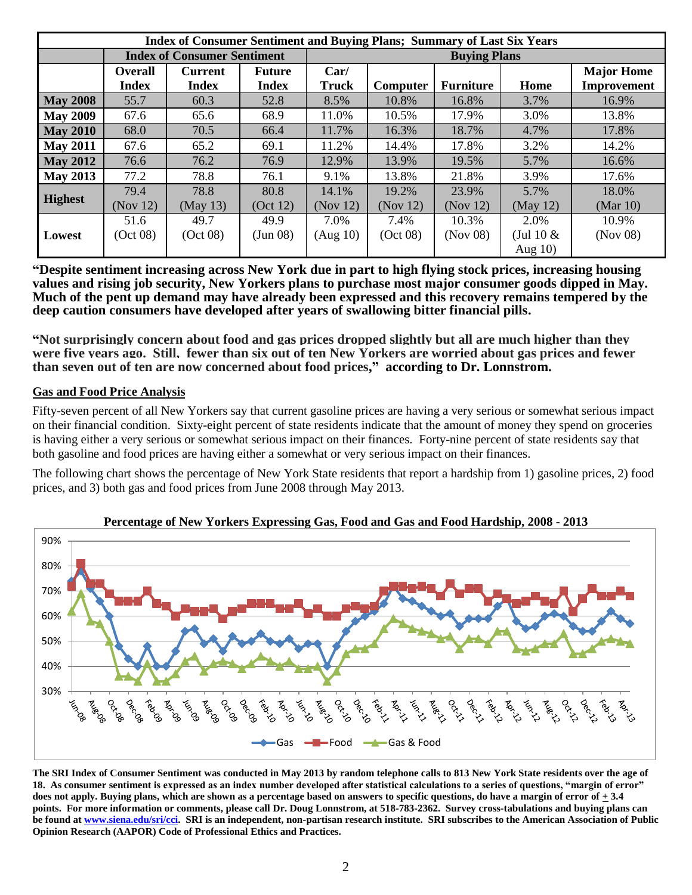| <b>Index of Consumer Sentiment and Buying Plans; Summary of Last Six Years</b> |                |                                    |               |                     |          |                  |              |                   |  |  |  |
|--------------------------------------------------------------------------------|----------------|------------------------------------|---------------|---------------------|----------|------------------|--------------|-------------------|--|--|--|
|                                                                                |                | <b>Index of Consumer Sentiment</b> |               | <b>Buying Plans</b> |          |                  |              |                   |  |  |  |
|                                                                                | <b>Overall</b> | <b>Current</b>                     | <b>Future</b> | Car/                |          |                  |              | <b>Major Home</b> |  |  |  |
|                                                                                | <b>Index</b>   | <b>Index</b>                       | <b>Index</b>  | <b>Truck</b>        | Computer | <b>Furniture</b> | Home         | Improvement       |  |  |  |
| <b>May 2008</b>                                                                | 55.7           | 60.3                               | 52.8          | 8.5%                | 10.8%    | 16.8%            | 3.7%         | 16.9%             |  |  |  |
| <b>May 2009</b>                                                                | 67.6           | 65.6                               | 68.9          | 11.0%               | 10.5%    | 17.9%            | 3.0%         | 13.8%             |  |  |  |
| <b>May 2010</b>                                                                | 68.0           | 70.5                               | 66.4          | 11.7%               | 16.3%    | 18.7%            | 4.7%         | 17.8%             |  |  |  |
| <b>May 2011</b>                                                                | 67.6           | 65.2                               | 69.1          | 11.2%               | 14.4%    | 17.8%            | 3.2%         | 14.2%             |  |  |  |
| <b>May 2012</b>                                                                | 76.6           | 76.2                               | 76.9          | 12.9%               | 13.9%    | 19.5%            | 5.7%         | 16.6%             |  |  |  |
| <b>May 2013</b>                                                                | 77.2           | 78.8                               | 76.1          | 9.1%                | 13.8%    | 21.8%            | 3.9%         | 17.6%             |  |  |  |
|                                                                                | 79.4           | 78.8                               | 80.8          | 14.1%               | 19.2%    | 23.9%            | 5.7%         | 18.0%             |  |  |  |
| <b>Highest</b>                                                                 | (Nov 12)       | (May 13)                           | (Oct 12)      | (Nov 12)            | (Nov 12) | (Nov 12)         | (May 12)     | (Mar 10)          |  |  |  |
|                                                                                | 51.6           | 49.7                               | 49.9          | 7.0%                | 7.4%     | 10.3%            | 2.0%         | 10.9%             |  |  |  |
| Lowest                                                                         | (Oct 08)       | (Oct 08)                           | (Jun 08)      | (Aug 10)            | (Oct 08) | (Nov 08)         | (Jul 10 $\&$ | (Nov 08)          |  |  |  |
|                                                                                |                |                                    |               |                     |          |                  | Aug $10$ )   |                   |  |  |  |

**"Despite sentiment increasing across New York due in part to high flying stock prices, increasing housing values and rising job security, New Yorkers plans to purchase most major consumer goods dipped in May. Much of the pent up demand may have already been expressed and this recovery remains tempered by the deep caution consumers have developed after years of swallowing bitter financial pills.**

**"Not surprisingly concern about food and gas prices dropped slightly but all are much higher than they were five years ago. Still, fewer than six out of ten New Yorkers are worried about gas prices and fewer than seven out of ten are now concerned about food prices," according to Dr. Lonnstrom.**

## **Gas and Food Price Analysis**

Fifty-seven percent of all New Yorkers say that current gasoline prices are having a very serious or somewhat serious impact on their financial condition. Sixty-eight percent of state residents indicate that the amount of money they spend on groceries is having either a very serious or somewhat serious impact on their finances. Forty-nine percent of state residents say that both gasoline and food prices are having either a somewhat or very serious impact on their finances.

The following chart shows the percentage of New York State residents that report a hardship from 1) gasoline prices, 2) food prices, and 3) both gas and food prices from June 2008 through May 2013.



**Percentage of New Yorkers Expressing Gas, Food and Gas and Food Hardship, 2008 - 2013**

**The SRI Index of Consumer Sentiment was conducted in May 2013 by random telephone calls to 813 New York State residents over the age of 18. As consumer sentiment is expressed as an index number developed after statistical calculations to a series of questions, "margin of error" does not apply. Buying plans, which are shown as a percentage based on answers to specific questions, do have a margin of error of + 3.4 points. For more information or comments, please call Dr. Doug Lonnstrom, at 518-783-2362. Survey cross-tabulations and buying plans can be found a[t www.siena.edu/sri/cci.](http://www.siena.edu/sri/cci) SRI is an independent, non-partisan research institute. SRI subscribes to the American Association of Public Opinion Research (AAPOR) Code of Professional Ethics and Practices.**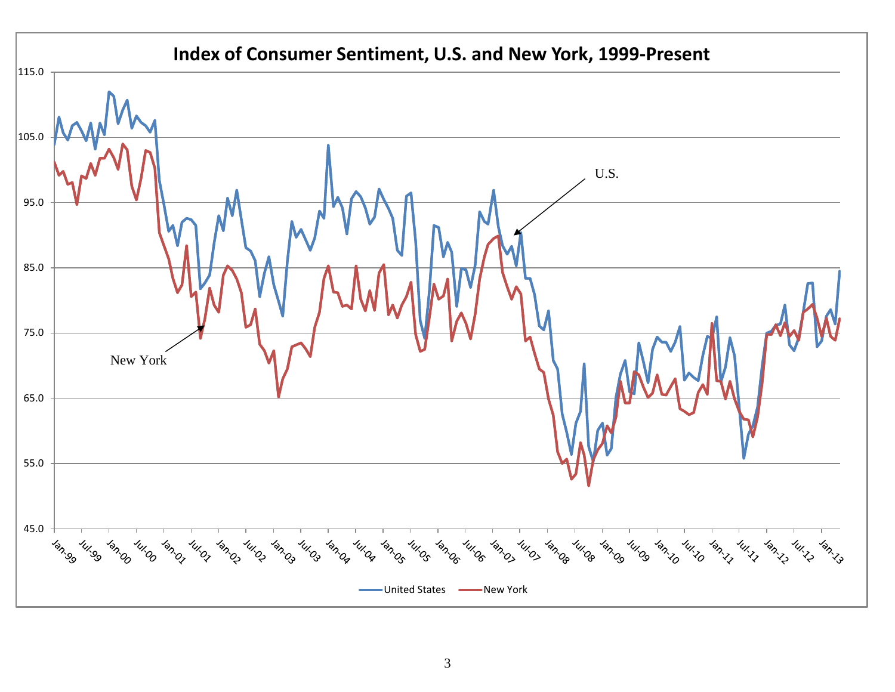